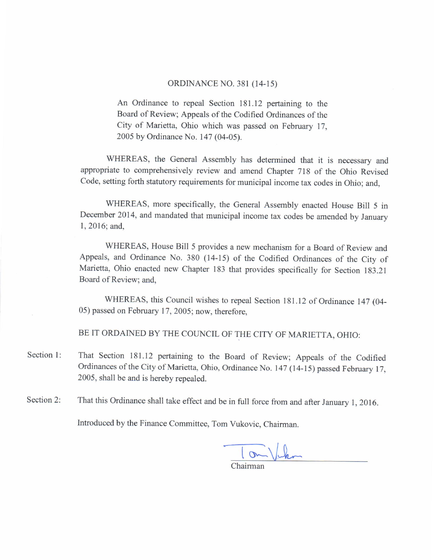## ORDINANCE NO. 381 (14-15)

An Ordinance to repeal Section 181.12 pertaining to the Board of Review; Appeals of the Codified Ordinances of the City of Marietta, Ohio which was passed on February 17, 2005 by Ordinance No. 147 (04-05).

WHEREAS, the General Assembly has determined that it is necessary and appropriate to comprehensively review and amend chapter 718 of the ohio Revised code, setting forth statutory requirements for municipal income tax codes in ohio; and.

WHEREAS, more specifically, the General Assembly enacted House Bill 5 in December 2014, and mandated that municipal income tax codes be amended by January 1,2016; and,

WHEREAS, House Bill 5 provides a new mechanism for a Board of Review and Appeals, and Ordinance No. 380 (14-15) of the Codified Ordinances of the City of Marietta, Ohio enacted new Chapter 183 that provides specifically for Section 183.21 Board of Review; and,

WHEREAS, this Council wishes to repeal Section 181.12 of Ordinance 147 (04-05) passed on February 17,2005; now, therefore,

BE IT ORDAINED BY THE COUNCIL OF THE CITY OF MARIETTA, OHIO:

- Section 1: That section 181.12 pertaining to the Board of Review; Appeals of the codified Ordinances of the City of Marietta, Ohio, Ordinance No. 147 (14-15) passed February 17, 2005, shall be and is hereby repealed.
- Section 2: That this Ordinance shall take effect and be in full force from and after January 1, 2016.

Introduced by the Finance Committee, Tom Vukovic. Chairman.

om Vicken Chairman